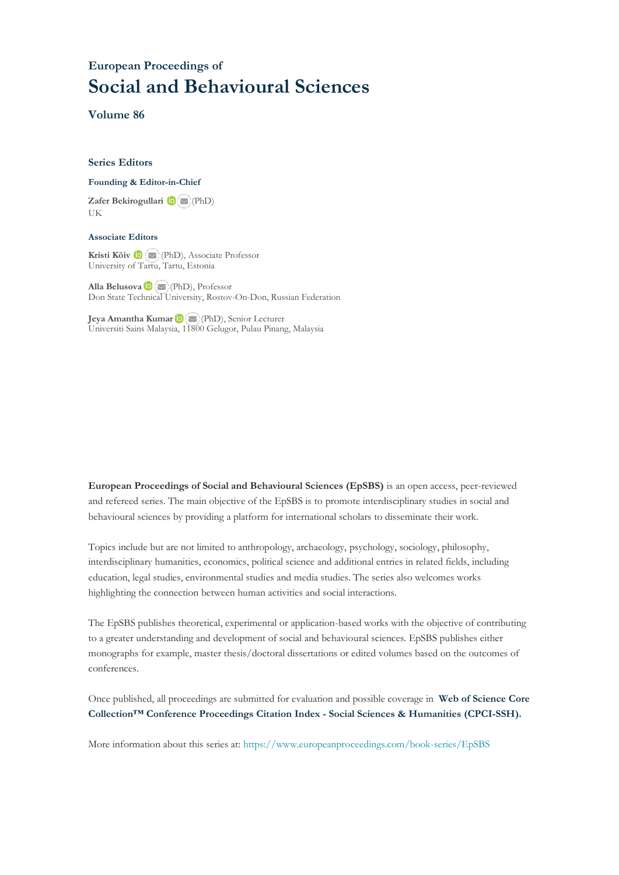## **European Proceedings of Social and Behavioural Sciences**

**Volume 86**

#### **Series Editors**

#### **Founding & Editor-in-Chief**

**Zafer Bekirogullari**(PhD) UK

#### **Associate Editors**

**Kristi Köiv** (PhD), Associate Professor University of Tartu, Tartu, Estonia

**Alla Belusova**(PhD), Professor Don State Technical University, Rostov-On-Don, Russian Federation

**Jeya Amantha Kumar**(PhD), Senior Lecturer Universiti Sains Malaysia, [1180](mailto:amantha@usm.my)0 Gelugor, Pulau Pinang, Malaysia

**European Proceedings of Social and Behavioural Sciences (EpSBS)** is an open access, peer-reviewed and refereed series. The main objective of the EpSBS is to promote interdisciplinary studies in social and behavioural sciences by providing a platform for international scholars to disseminate their work.

Topics include but are not limited to anthropology, archaeology, psychology, sociology, philosophy, interdisciplinary humanities, economics, political science and additional entries in related fields, including education, legal studies, environmental studies and media studies. The series also welcomes works highlighting the connection between human activities and social interactions.

The EpSBS publishes theoretical, experimental or application-based works with the objective of contributing to a greater understanding and development of social and behavioural sciences. EpSBS publishes either monographs for example, master thesis/doctoral dissertations or edited volumes based on the outcomes of conferences.

Once published, all proceedings are submitted for evaluation and possible coverage in **Web of [Science](https://clarivate.com/webofsciencegroup/solutions/webofscience-cpci/) Core Collection™ Conference Proceedings Citation Index - Social Sciences & Humanities [\(CPCI-SSH\).](https://clarivate.com/webofsciencegroup/solutions/webofscience-cpci/)**

More information about this series at[: https://www.europeanproceedings.com/book-series/EpSBS](https://www.europeanproceedings.com/book-series/EpSBS)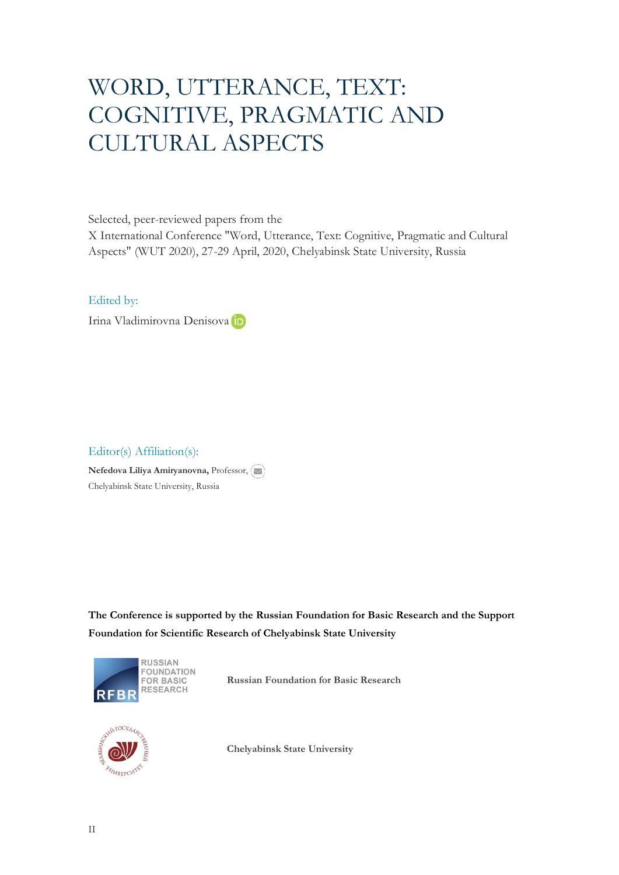# WORD, UTTERANCE, TEXT: COGNITIVE, PRAGMATIC AND CULTURAL ASPECTS

Selected, peer-reviewed papers from the

X International Conference "Word, Utterance, Text: Cognitive, Pragmatic and Cultural Aspects" (WUT 2020), 27-29 April, 2020, Chelyabinsk State University, Russia

### Edited by:

Irina Vladimirovna Denisova<sup>th</sup>

### Editor(s) Affiliation(s):

**Nefedova Liliya Amiryanovna,** Professor, Chelyabinsk State University, Russia

**The Conference is supported by the Russian Foundation for Basic Research and the Support Foundation for Scientific Research of Chelyabinsk State University**



**Russian Foundation for Basic Research**



**Chelyabinsk State University**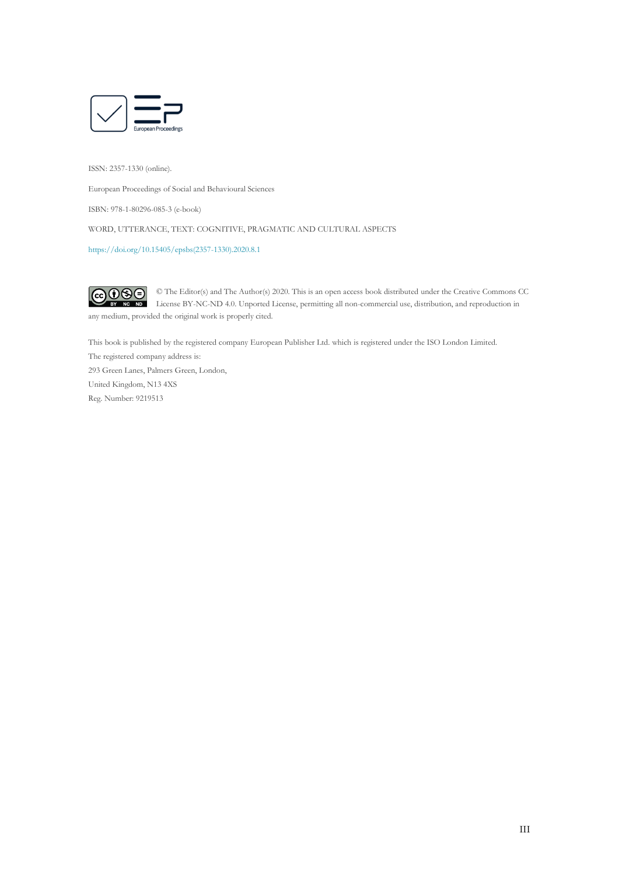

ISSN: 2357-1330 (online).

European Proceedings of Social and Behavioural Sciences

ISBN: 978-1-80296-085-3 (e-book)

WORD, UTTERANCE, TEXT: COGNITIVE, PRAGMATIC AND CULTURAL ASPECTS

[https://doi.org/10.15405/epsbs\(2357-1330\).2020.8.1](https://doi.org/10.15405/epsbs(2357-1330).2020.8.1)

 $\odot$   $\odot$   $\odot$ © The Editor(s) and The Author(s) 2020. This is an open access book distributed under the Creative Commons CC License BY-NC-ND 4.0. Unported License, permitting all non-commercial use, distribution, and reproduction in any medium, provided the original work is properly cited.

This book is published by the registered company European Publisher Ltd. which is registered under the ISO London Limited. The registered company address is: 293 Green Lanes, Palmers Green, London,

United Kingdom, N13 4XS Reg. Number: 9219513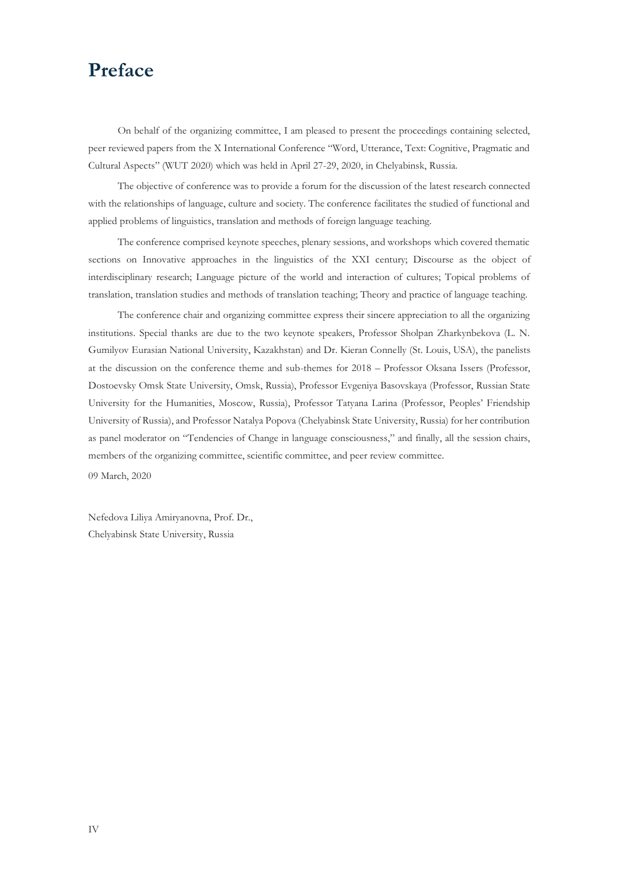## **Preface**

On behalf of the organizing committee, I am pleased to present the proceedings containing selected, peer reviewed papers from the X International Conference "Word, Utterance, Text: Cognitive, Pragmatic and Cultural Aspects" (WUT 2020) which was held in April 27-29, 2020, in Chelyabinsk, Russia.

The objective of conference was to provide a forum for the discussion of the latest research connected with the relationships of language, culture and society. The conference facilitates the studied of functional and applied problems of linguistics, translation and methods of foreign language teaching.

The conference comprised keynote speeches, plenary sessions, and workshops which covered thematic sections on Innovative approaches in the linguistics of the XXI century; Discourse as the object of interdisciplinary research; Language picture of the world and interaction of cultures; Topical problems of translation, translation studies and methods of translation teaching; Theory and practice of language teaching.

The conference chair and organizing committee express their sincere appreciation to all the organizing institutions. Special thanks are due to the two keynote speakers, Professor Sholpan Zharkynbekova (L. N. Gumilyov Eurasian National University, Kazakhstan) and Dr. Kieran Connelly (St. Louis, USA), the panelists at the discussion on the conference theme and sub-themes for 2018 – Professor Oksana Issers (Professor, Dostoevsky Omsk State University, Omsk, Russia), Professor Evgeniya Basovskaya (Professor, Russian State University for the Humanities, Moscow, Russia), Professor Tatyana Larina (Professor, Peoples' Friendship University of Russia), and Professor Natalya Popova (Chelyabinsk State University, Russia) for her contribution as panel moderator on "Tendencies of Change in language consciousness," and finally, all the session chairs, members of the organizing committee, scientific committee, and peer review committee.

09 March, 2020

Nefedova Liliya Amiryanovna, Prof. Dr., Chelyabinsk State University, Russia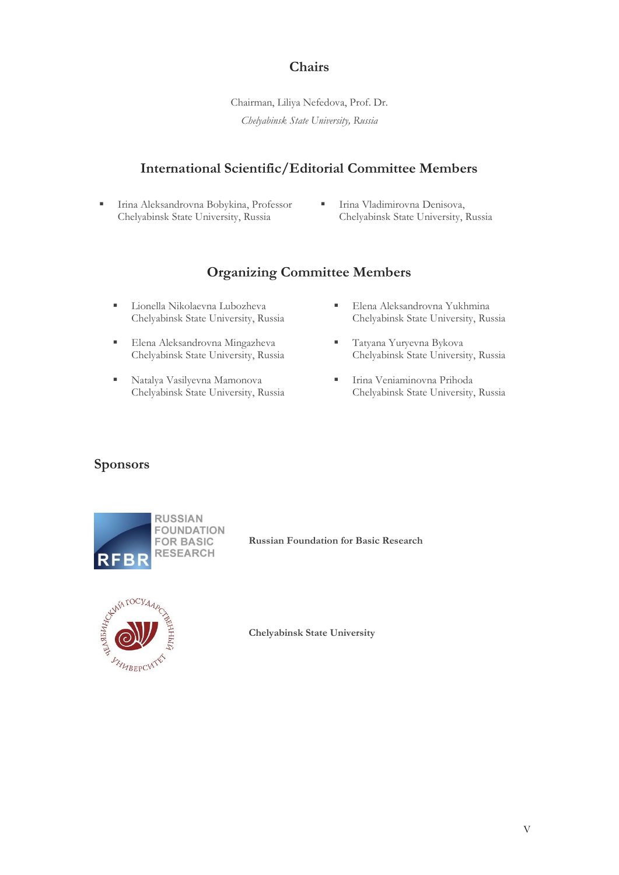## **Chairs**

Chairman, Liliya Nefedova, Prof. Dr. *Chelyabinsk State University, Russia*

### **International Scientific/Editorial Committee Members**

- Irina Aleksandrovna Bobykina, Professor Chelyabinsk State University, Russia
- **· Irina Vladimirovna Denisova,** Chelyabinsk State University, Russia

## **Organizing Committee Members**

- Lionella Nikolaevna Lubozheva Chelyabinsk State University, Russia
- Elena Aleksandrovna Mingazheva Chelyabinsk State University, Russia
- Natalya Vasilyevna Mamonova Chelyabinsk State University, Russia
- **Elena Aleksandrovna Yukhmina** Chelyabinsk State University, Russia
- Tatyana Yuryevna Bykova Chelyabinsk State University, Russia
- **·** Irina Veniaminovna Prihoda Chelyabinsk State University, Russia

### **Sponsors**



**Russian Foundation for Basic Research**



**Chelyabinsk State University**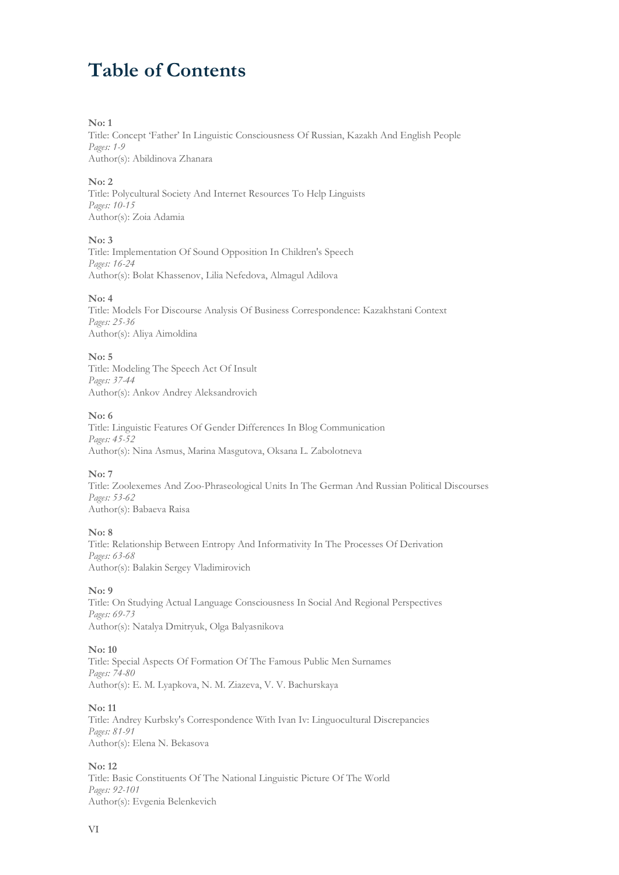## **Table of Contents**

#### **No: 1**

Title: Concept 'Father' In Linguistic Consciousness Of Russian, Kazakh And English People *Pages: 1-9* Author(s): Abildinova Zhanara

#### **No: 2**

Title: Polycultural Society And Internet Resources To Help Linguists *Pages: 10-15* Author(s): Zoia Adamia

#### **No: 3**

Title: Implementation Of Sound Opposition In Children's Speech *Pages: 16-24* Author(s): Bolat Khassenov, Lilia Nefedova, Almagul Adilova

#### **No: 4**

Title: Models For Discourse Analysis Of Business Correspondence: Kazakhstani Context *Pages: 25-36* Author(s): Aliya Aimoldina

#### **No: 5**

Title: Modeling The Speech Act Of Insult *Pages: 37-44* Author(s): Ankov Andrey Aleksandrovich

#### **No: 6**

Title: Linguistic Features Of Gender Differences In Blog Communication *Pages: 45-52* Author(s): Nina Asmus, Marina Masgutova, Oksana L. Zabolotneva

#### **No: 7**

Title: Zoolexemes And Zoo-Phraseological Units In The German And Russian Political Discourses *Pages: 53-62* Author(s): Babaeva Raisa

#### **No: 8**

Title: Relationship Between Entropy And Informativity In The Processes Of Derivation *Pages: 63-68* Author(s): Balakin Sergey Vladimirovich

#### **No: 9**

Title: On Studying Actual Language Consciousness In Social And Regional Perspectives *Pages: 69-73* Author(s): Natalya Dmitryuk, Olga Balyasnikova

#### **No: 10**

Title: Special Aspects Of Formation Of The Famous Public Men Surnames *Pages: 74-80* Author(s): E. M. Lyapkova, N. M. Ziazeva, V. V. Bachurskaya

#### **No: 11**

Title: Andrey Kurbsky's Correspondence With Ivan Iv: Linguocultural Discrepancies *Pages: 81-91* Author(s): Elena N. Bekasova

#### **No: 12**

Title: Basic Constituents Of The National Linguistic Picture Of The World *Pages: 92-101* Author(s): Evgenia Belenkevich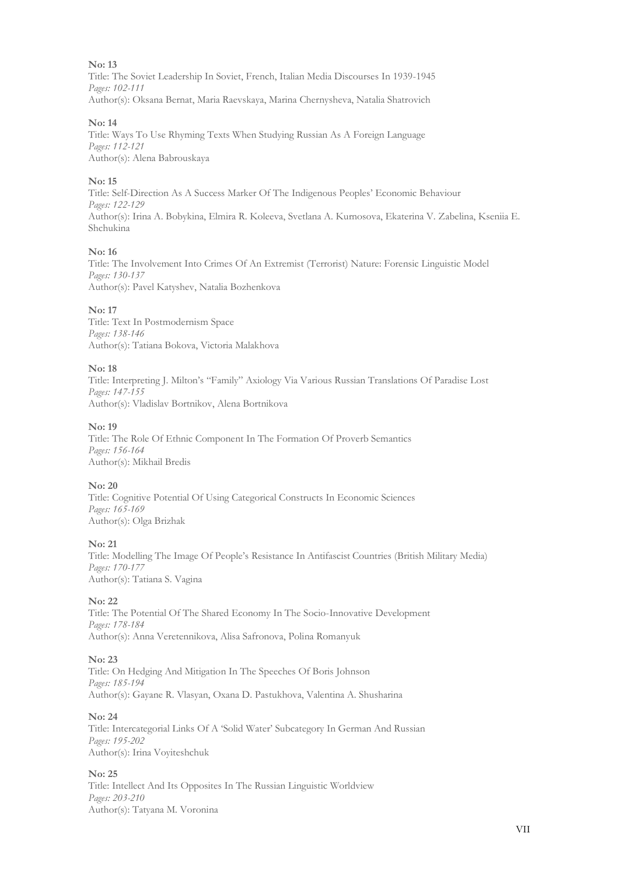Title: The Soviet Leadership In Soviet, French, Italian Media Discourses In 1939-1945 *Pages: 102-111* Author(s): Oksana Bernat, Maria Raevskaya, Marina Chernysheva, Natalia Shatrovich

#### **No: 14**

Title: Ways To Use Rhyming Texts When Studying Russian As A Foreign Language *Pages: 112-121* Author(s): Alena Babrouskaya

#### **No: 15**

Title: Self-Direction As A Success Marker Of The Indigenous Peoples' Economic Behaviour *Pages: 122-129* Author(s): Irina A. Bobykina, Elmira R. Koleeva, Svetlana A. Kurnosova, Ekaterina V. Zabelina, Kseniia E. Shchukina

#### **No: 16**

Title: The Involvement Into Crimes Of An Extremist (Terrorist) Nature: Forensic Linguistic Model *Pages: 130-137* Author(s): Pavel Katyshev, Natalia Bozhenkova

#### **No: 17**

Title: Text In Postmodernism Space *Pages: 138-146* Author(s): Tatiana Bokova, Victoria Malakhova

#### **No: 18**

Title: Interpreting J. Milton's "Family" Axiology Via Various Russian Translations Of Paradise Lost *Pages: 147-155* Author(s): Vladislav Bortnikov, Alena Bortnikova

#### **No: 19**

Title: The Role Of Ethnic Component In The Formation Of Proverb Semantics *Pages: 156-164* Author(s): Mikhail Bredis

#### **No: 20**

Title: Cognitive Potential Of Using Categorical Constructs In Economic Sciences *Pages: 165-169* Author(s): Olga Brizhak

#### **No: 21**

Title: Modelling The Image Of People's Resistance In Antifascist Countries (British Military Media) *Pages: 170-177* Author(s): Tatiana S. Vagina

#### **No: 22**

Title: The Potential Of The Shared Economy In The Socio-Innovative Development *Pages: 178-184* Author(s): Anna Veretennikova, Alisa Safronova, Polina Romanyuk

#### **No: 23**

Title: On Hedging And Mitigation In The Speeches Of Boris Johnson *Pages: 185-194* Author(s): Gayane R. Vlasyan, Oxana D. Pastukhova, Valentina A. Shusharina

#### **No: 24**

Title: Intercategorial Links Of A 'Solid Water' Subcategory In German And Russian *Pages: 195-202* Author(s): Irina Voyiteshchuk

#### **No: 25**

Title: Intellect And Its Opposites In The Russian Linguistic Worldview *Pages: 203-210* Author(s): Tatyana M. Voronina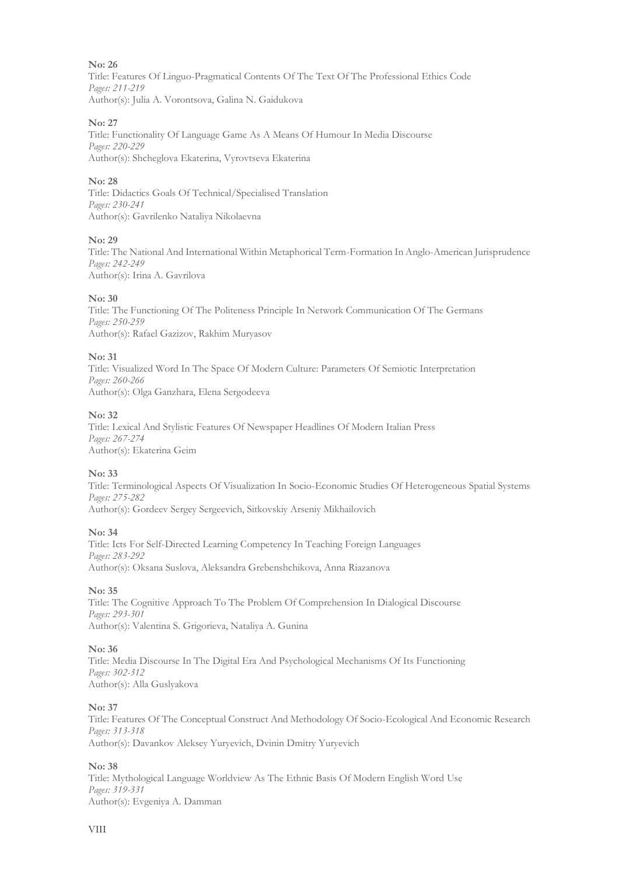Title: Features Of Linguo-Pragmatical Contents Of The Text Of The Professional Ethics Code *Pages: 211-219* Author(s): Julia A. Vorontsova, Galina N. Gaidukova

#### **No: 27**

Title: Functionality Of Language Game As A Means Of Humour In Media Discourse *Pages: 220-229* Author(s): Shcheglova Ekaterina, Vyrovtseva Ekaterina

#### **No: 28**

Title: Didactics Goals Of Technical/Specialised Translation *Pages: 230-241* Author(s): Gavrilenko Nataliya Nikolaevna

#### **No: 29**

Title: The National And International Within Metaphorical Term-Formation In Anglo-American Jurisprudence *Pages: 242-249* Author(s): Irina A. Gavrilova

#### **No: 30**

Title: The Functioning Of The Politeness Principle In Network Communication Of The Germans *Pages: 250-259* Author(s): Rafael Gazizov, Rakhim Muryasov

#### **No: 31**

Title: Visualized Word In The Space Of Modern Culture: Parameters Of Semiotic Interpretation *Pages: 260-266* Author(s): Olga Ganzhara, Elena Sergodeeva

#### **No: 32**

Title: Lexical And Stylistic Features Of Newspaper Headlines Of Modern Italian Press *Pages: 267-274* Author(s): Ekaterina Geim

#### **No: 33**

Title: Terminological Aspects Of Visualization In Socio-Economic Studies Of Heterogeneous Spatial Systems *Pages: 275-282* Author(s): Gordeev Sergey Sergeevich, Sitkovskiy Arseniy Mikhailovich

#### **No: 34**

Title: Icts For Self-Directed Learning Competency In Teaching Foreign Languages *Pages: 283-292* Author(s): Oksana Suslova, Aleksandra Grebenshchikova, Anna Riazanova

#### **No: 35**

Title: The Cognitive Approach To The Problem Of Comprehension In Dialogical Discourse *Pages: 293-301* Author(s): Valentina S. Grigorieva, Nataliya A. Gunina

#### **No: 36**

Title: Media Discourse In The Digital Era And Psychological Mechanisms Of Its Functioning *Pages: 302-312* Author(s): Alla Guslyakova

#### **No: 37**

Title: Features Of The Conceptual Construct And Methodology Of Socio-Ecological And Economic Research *Pages: 313-318* Author(s): Davankov Aleksey Yuryevich, Dvinin Dmitry Yuryevich

#### **No: 38**

Title: Mythological Language Worldview As The Ethnic Basis Of Modern English Word Use *Pages: 319-331* Author(s): Evgeniya A. Damman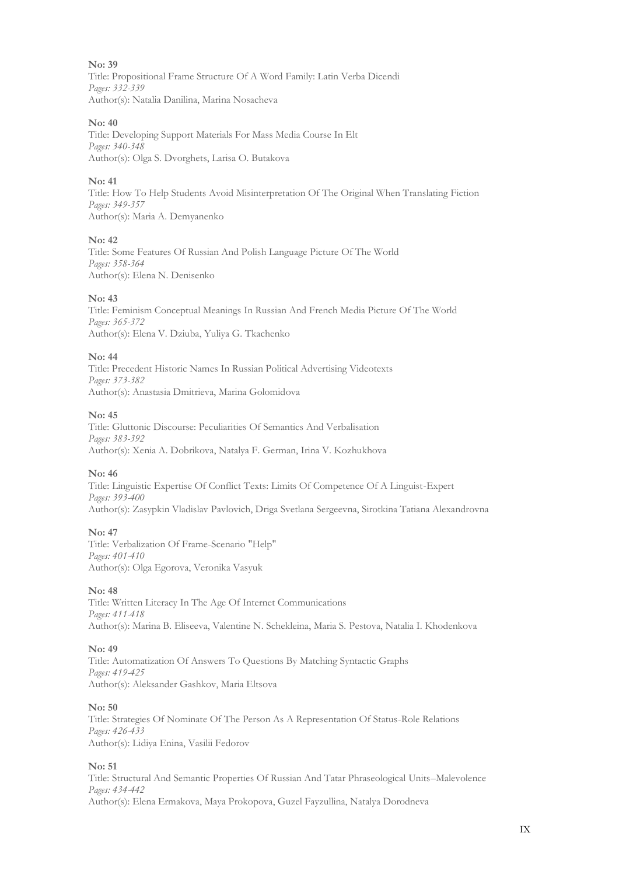Title: Propositional Frame Structure Of A Word Family: Latin Verba Dicendi *Pages: 332-339* Author(s): Natalia Danilina, Marina Nosacheva

#### **No: 40**

Title: Developing Support Materials For Mass Media Course In Elt *Pages: 340-348* Author(s): Olga S. Dvorghets, Larisa O. Butakova

#### **No: 41**

Title: How To Help Students Avoid Misinterpretation Of The Original When Translating Fiction *Pages: 349-357* Author(s): Maria A. Demyanenko

#### **No: 42**

Title: Some Features Of Russian And Polish Language Picture Of The World *Pages: 358-364* Author(s): Elena N. Denisenko

#### **No: 43**

Title: Feminism Conceptual Meanings In Russian And French Media Picture Of The World *Pages: 365-372* Author(s): Elena V. Dziuba, Yuliya G. Tkachenko

#### **No: 44**

Title: Precedent Historic Names In Russian Political Advertising Videotexts *Pages: 373-382* Author(s): Anastasia Dmitrieva, Marina Golomidova

#### **No: 45**

Title: Gluttonic Discourse: Peculiarities Of Semantics And Verbalisation *Pages: 383-392* Author(s): Xenia A. Dobrikova, Natalya F. German, Irina V. Kozhukhova

#### **No: 46**

Title: Linguistic Expertise Of Conflict Texts: Limits Of Competence Of A Linguist-Expert *Pages: 393-400* Author(s): Zasypkin Vladislav Pavlovich, Driga Svetlana Sergeevna, Sirotkina Tatiana Alexandrovna

#### **No: 47**

Title: Verbalization Of Frame-Scenario "Help" *Pages: 401-410* Author(s): Olga Egorova, Veronika Vasyuk

#### **No: 48**

Title: Written Literacy In The Age Of Internet Communications *Pages: 411-418* Author(s): Marina B. Eliseeva, Valentine N. Schekleina, Maria S. Pestova, Natalia I. Khodenkova

#### **No: 49**

Title: Automatization Of Answers To Questions By Matching Syntactic Graphs *Pages: 419-425* Author(s): Aleksander Gashkov, Maria Eltsova

#### **No: 50**

Title: Strategies Of Nominate Of The Person As A Representation Of Status-Role Relations *Pages: 426-433* Author(s): Lidiya Enina, Vasilii Fedorov

#### **No: 51**

Title: Structural And Semantic Properties Of Russian And Tatar Phraseological Units–Malevolence *Pages: 434-442* Author(s): Elena Ermakova, Maya Prokopova, Guzel Fayzullina, Natalya Dorodneva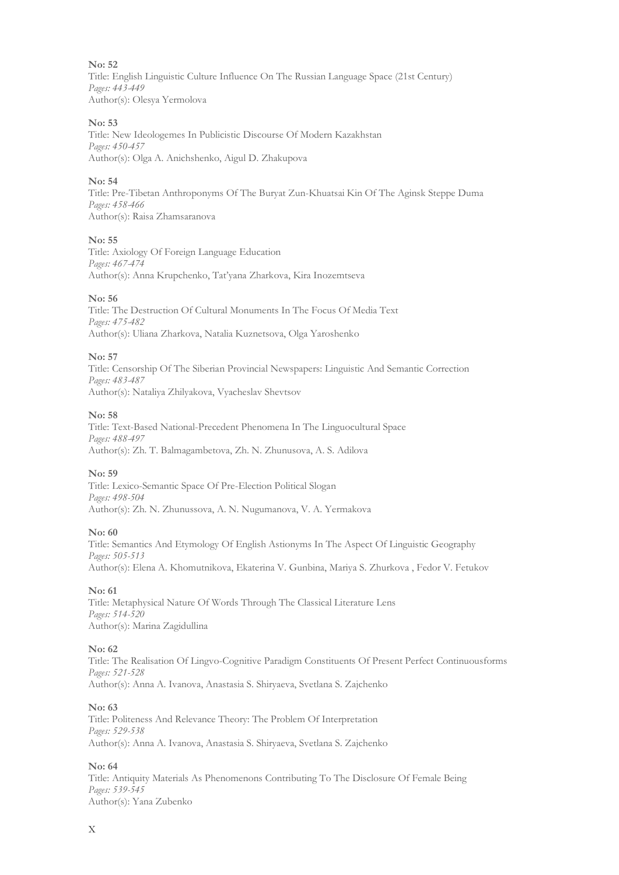Title: English Linguistic Culture Influence On The Russian Language Space (21st Century) *Pages: 443-449* Author(s): Olesya Yermolova

#### **No: 53**

Title: New Ideologemes In Publicistic Discourse Of Modern Kazakhstan *Pages: 450-457* Author(s): Olga A. Aniсhshenko, Aigul D. Zhakupova

#### **No: 54**

Title: Pre-Tibetan Anthroponyms Of The Buryat Zun-Khuatsai Kin Of The Aginsk Steppe Duma *Pages: 458-466* Author(s): Raisa Zhamsaranova

#### **No: 55**

Title: Axiology Of Foreign Language Education *Pages: 467-474* Author(s): Anna Krupchenko, Tat'yana Zharkova, Kira Inozemtseva

#### **No: 56**

Title: The Destruction Of Cultural Monuments In The Focus Of Media Text *Pages: 475-482* Author(s): Uliana Zharkova, Natalia Kuznetsova, Olga Yaroshenko

#### **No: 57**

Title: Censorship Of The Siberian Provincial Newspapers: Linguistic And Semantic Correction *Pages: 483-487* Author(s): Nataliya Zhilyakova, Vyacheslav Shevtsov

#### **No: 58**

Title: Text-Based National-Precedent Phenomena In The Linguocultural Space *Pages: 488-497* Author(s): Zh. T. Balmagambetova, Zh. N. Zhunusova, A. S. Adilova

#### **No: 59**

Title: Lexico-Semantic Space Of Pre-Election Political Slogan *Pages: 498-504* Author(s): Zh. N. Zhunussova, A. N. Nugumanova, V. A. Yеrmakova

#### **No: 60**

Title: Semantics And Etymology Of English Astionyms In The Aspect Of Linguistic Geography *Pages: 505-513* Author(s): Elena A. Khomutnikova, Ekaterina V. Gunbina, Mariya S. Zhurkova , Fedor V. Fetukov

#### **No: 61**

Title: Metaphysical Nature Of Words Through The Classical Literature Lens *Pages: 514-520* Author(s): Marina Zagidullina

#### **No: 62**

Title: The Realisation Of Lingvo-Cognitive Paradigm Constituents Of Present Perfect Continuousforms *Pages: 521-528* Author(s): Anna A. Ivanova, Anastasia S. Shiryaeva, Svetlana S. Zajchenko

#### **No: 63**

Title: Politeness And Relevance Theory: The Problem Of Interpretation *Pages: 529-538* Author(s): Anna A. Ivanova, Anastasia S. Shiryaeva, Svetlana S. Zajchenko

#### **No: 64**

Title: Antiquity Materials As Phenomenons Contributing To The Disclosure Of Female Being *Pages: 539-545* Author(s): Yana Zubenko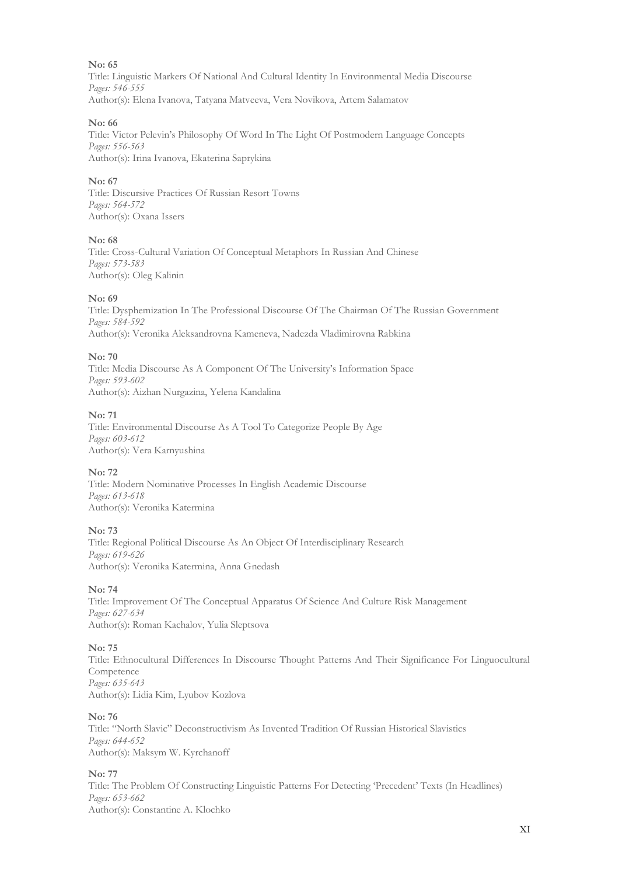Title: Linguistic Markers Of National And Cultural Identity In Environmental Media Discourse *Pages: 546-555* Author(s): Elena Ivanova, Tatyana Matveeva, Vera Novikova, Artem Salamatov

#### **No: 66**

Title: Victor Pelevin's Philosophy Of Word In The Light Of Postmodern Language Concepts *Pages: 556-563* Author(s): Irina Ivanova, Ekaterina Saprykina

#### **No: 67**

Title: Discursive Practices Of Russian Resort Towns *Pages: 564-572* Author(s): Oxana Issers

#### **No: 68**

Title: Cross-Cultural Variation Of Conceptual Metaphors In Russian And Chinese *Pages: 573-583* Author(s): Oleg Kalinin

#### **No: 69**

Title: Dysphemization In The Professional Discourse Of The Chairman Of The Russian Government *Pages: 584-592* Author(s): Veronika Aleksandrovna Kameneva, Nadezda Vladimirovna Rabkina

#### **No: 70**

Title: Media Discourse As A Component Of The University's Information Space *Pages: 593-602* Author(s): Aizhan Nurgazina, Yelena Kandalina

#### **No: 71**

Title: Environmental Discourse As A Tool To Categorize People By Age *Pages: 603-612* Author(s): Vera Karnyushina

#### **No: 72**

Title: Modern Nominative Processes In English Academic Discourse *Pages: 613-618* Author(s): Veronika Katermina

#### **No: 73**

Title: Regional Political Discourse As An Object Of Interdisciplinary Research *Pages: 619-626* Author(s): Veronika Katermina, Anna Gnedash

#### **No: 74**

Title: Improvement Of The Conceptual Apparatus Of Science And Culture Risk Management *Pages: 627-634* Author(s): Roman Kachalov, Yulia Sleptsova

#### **No: 75**

Title: Ethnocultural Differences In Discourse Thought Patterns And Their Significance For Linguocultural Competence *Pages: 635-643* Author(s): Lidia Kim, Lyubov Kozlova

#### **No: 76**

Title: "North Slavic" Deconstructivism As Invented Tradition Of Russian Historical Slavistics *Pages: 644-652* Author(s): Maksym W. Kyrchanoff

#### **No: 77**

Title: The Problem Of Constructing Linguistic Patterns For Detecting 'Precedent' Texts (In Headlines) *Pages: 653-662* Author(s): Constantine A. Klochko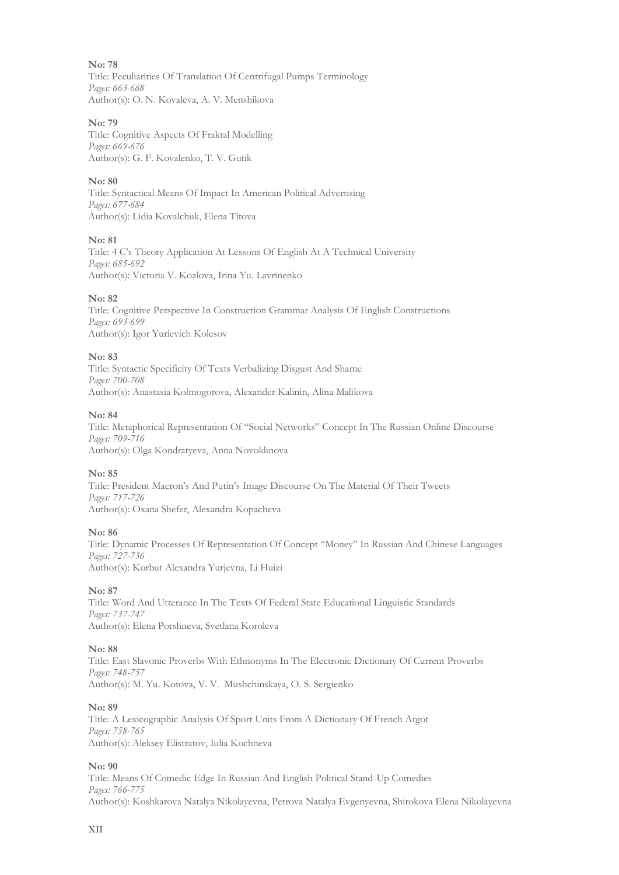Title: Peculiarities Of Translation Of Centrifugal Pumps Terminology *Pages: 663-668* Author(s): O. N. Kovaleva, A. V. Menshikova

#### **No: 79**

Title: Cognitive Aspects Of Fraktal Modelling *Pages: 669-676* Author(s): G. F. Kovalenko, T. V. Gutik

#### **No: 80**

Title: Syntactical Means Of Impact In American Political Advertising *Pages: 677-684* Author(s): Lidia Kovalchuk, Elena Titova

**No: 81**

Title: 4 C's Theory Application At Lessons Of English At A Technical University *Pages: 685-692* Author(s): Victoria V. Kozlova, Irina Yu. Lavrinenko

#### **No: 82**

Title: Cognitive Perspective In Construction Grammar Analysis Of English Constructions *Pages: 693-699* Author(s): Igor Yurievich Kolesov

#### **No: 83**

Title: Syntactic Specificity Of Texts Verbalizing Disgust And Shame *Pages: 700-708* Author(s): Anastasia Kolmogorova, Alexander Kalinin, Alina Malikova

#### **No: 84**

Title: Metaphorical Representation Of "Social Networks" Concept In The Russian Online Discourse *Pages: 709-716* Author(s): Olga Kondratyeva, Anna Novoklinova

#### **No: 85**

Title: President Macron's And Putin's Image Discourse On The Material Of Their Tweets *Pages: 717-726* Author(s): Oxana Shefer, Alexandra Kopacheva

#### **No: 86**

Title: Dynamic Processes Of Representation Of Concept "Money" In Russian And Chinese Languages *Pages: 727-736* Author(s): Korbut Alexandra Yurjevna, Li Huizi

#### **No: 87**

Title: Word And Utterance In The Texts Of Federal State Educational Linguistic Standards *Pages: 737-747* Author(s): Elena Porshneva, Svetlana Koroleva

#### **No: 88**

Title: East Slavonic Proverbs With Ethnonyms In The Electronic Dictionary Of Current Proverbs *Pages: 748-757* Author(s): M. Yu. Kotova, V. V. Mushchinskaya, O. S. Sergienko

#### **No: 89**

Title: A Lexicographic Analysis Of Sport Units From A Dictionary Of French Argot *Pages: 758-765* Author(s): Aleksey Elistratov, Iulia Kochneva

#### **No: 90**

Title: Means Of Comedic Edge In Russian And English Political Stand-Up Comedies *Pages: 766-775* Author(s): Koshkarova Natalya Nikolayevna, Petrova Natalya Evgenyevna, Shirokova Elena Nikolayevna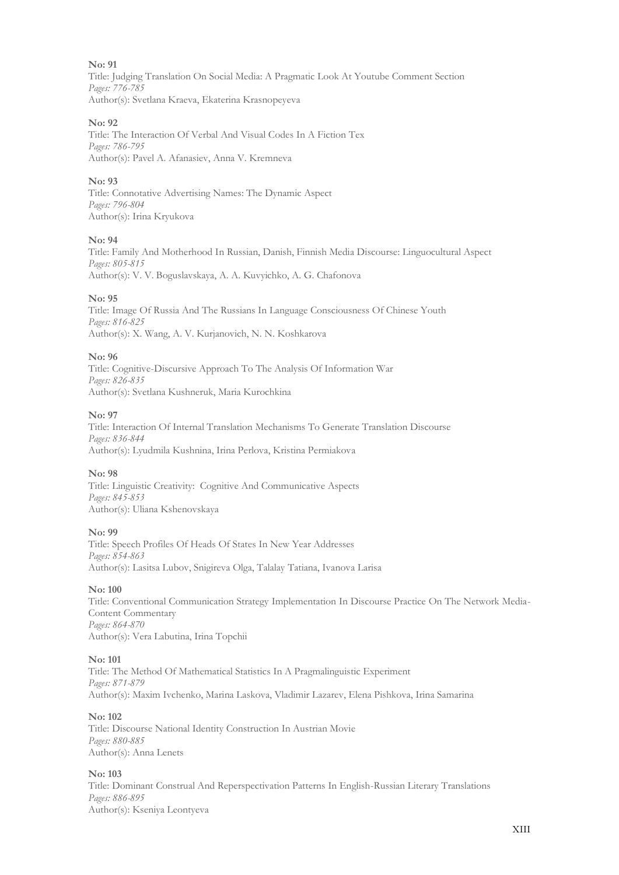Title: Judging Translation On Social Media: A Pragmatic Look At Youtube Comment Section *Pages: 776-785* Author(s): Svetlana Kraeva, Ekaterina Krasnopeyeva

#### **No: 92**

Title: Thе Intеrаction Оf Vеrbаl Аnd Visuаl Codеs In А Fiction Tеx *Pages: 786-795* Author(s): Pаvеl А. Аfаnаsiеv, Аnnа V. Krеmnеvа

#### **No: 93**

Title: Connotative Advertising Names: The Dynamic Aspect *Pages: 796-804* Author(s): Irina Kryukova

#### **No: 94**

Title: Family And Motherhood In Russian, Danish, Finnish Media Discourse: Linguocultural Aspect *Pages: 805-815* Author(s): V. V. Boguslavskaya, A. A. Kuvyichko, A. G. Chafonova

#### **No: 95**

Title: Image Of Russia And The Russians In Language Consciousness Of Chinese Youth *Pages: 816-825* Author(s): X. Wang, A. V. Kurjanovich, N. N. Koshkarova

#### **No: 96**

Title: Cognitive-Discursive Approach To The Analysis Of Information War *Pages: 826-835* Author(s): Svetlana Kushneruk, Maria Kurochkina

#### **No: 97**

Title: Interaction Of Internal Translation Mechanisms To Generate Translation Discourse *Pages: 836-844* Author(s): Lyudmila Kushnina, Irina Perlova, Kristina Permiakova

#### **No: 98**

Title: Linguistic Creativity: Cognitive And Communicative Aspects *Pages: 845-853* Author(s): Uliana Kshenovskaya

#### **No: 99**

Title: Speech Profiles Of Heads Of States In New Year Addresses *Pages: 854-863* Author(s): Lasitsa Lubov, Snigireva Olga, Talalay Tatiana, Ivanova Larisa

#### **No: 100**

Title: Conventional Communication Strategy Implementation In Discourse Practice On The Network Media-Content Commentary *Pages: 864-870* Author(s): Vera Labutina, Irina Topchii

#### **No: 101**

Title: The Method Of Mathematical Statistics In A Pragmalinguistic Experiment *Pages: 871-879* Author(s): Maxim Ivchenko, Marina Laskova, Vladimir Lazarev, Elena Pishkova, Irina Samarina

#### **No: 102**

Title: Discourse National Identity Construction In Austrian Movie *Pages: 880-885* Author(s): Anna Lenets

#### **No: 103**

Title: Dominant Construal And Reperspectivation Patterns In English-Russian Literary Translations *Pages: 886-895* Author(s): Kseniya Leontyeva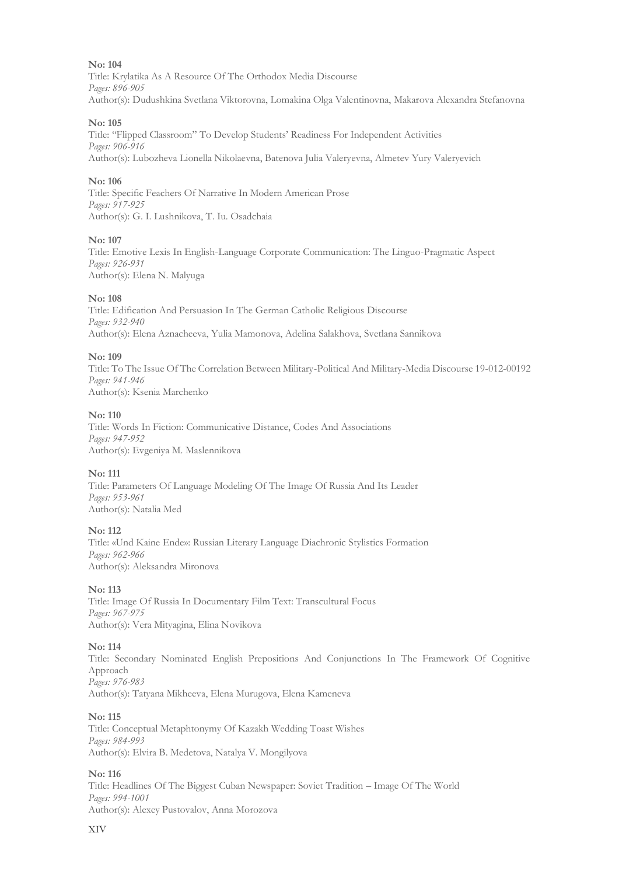Title: Krylatika As A Resource Of The Orthodox Media Discourse *Pages: 896-905* Author(s): Dudushkina Svetlana Viktorovna, Lomakina Olga Valentinovna, Makarova Alexandra Stefanovna

#### **No: 105**

Title: "Flipped Classroom" To Develop Students' Readiness For Independent Activities *Pages: 906-916* Author(s): Lubozheva Lionella Nikolaevna, Batenova Julia Valeryevna, Almetev Yury Valeryevich

#### **No: 106**

Title: Specific Feachers Of Narrative In Modern American Prose *Pages: 917-925* Author(s): G. I. Lushnikova, T. Iu. Osadchaia

#### **No: 107**

Title: Emotive Lexis In English-Language Corporate Communication: The Linguo-Pragmatic Aspect *Pages: 926-931* Author(s): Elena N. Malyuga

#### **No: 108**

Title: Edification And Persuasion In The German Catholic Religious Discourse *Pages: 932-940* Author(s): Elena Aznacheeva, Yulia Mamonova, Adelina Salakhova, Svetlana Sannikova

#### **No: 109**

Title: To The Issue Of The Correlation Between Military-Political And Military-Media Discourse 19-012-00192 *Pages: 941-946* Author(s): Ksenia Marchenko

#### **No: 110**

Title: Words In Fiction: Communicative Distance, Codes And Associations *Pages: 947-952* Author(s): Evgeniya M. Maslennikova

#### **No: 111**

Title: Parameters Of Language Modeling Of The Image Of Russia And Its Leader *Pages: 953-961* Author(s): Natalia Med

#### **No: 112**

Title: «Und Kaine Ende»: Russian Literary Language Diachronic Stylistics Formation *Pages: 962-966* Author(s): Aleksandra Mironova

#### **No: 113**

Title: Image Of Russia In Documentary Film Text: Transcultural Focus *Pages: 967-975* Author(s): Vera Mityagina, Elina Novikova

#### **No: 114**

Title: Secondary Nominated English Prepositions And Conjunctions In The Framework Of Cognitive Approach *Pages: 976-983* Author(s): Tatyana Mikheeva, Elena Murugova, Elena Kameneva

#### **No: 115**

Title: Conceptual Metaphtonymy Of Kazakh Wedding Toast Wishes *Pages: 984-993* Author(s): Elvira B. Medetova, Natalya V. Mongilyova

#### **No: 116**

Title: Headlines Of The Biggest Cuban Newspaper: Soviet Tradition – Image Of The World *Pages: 994-1001* Author(s): Alexey Pustovalov, Anna Morozova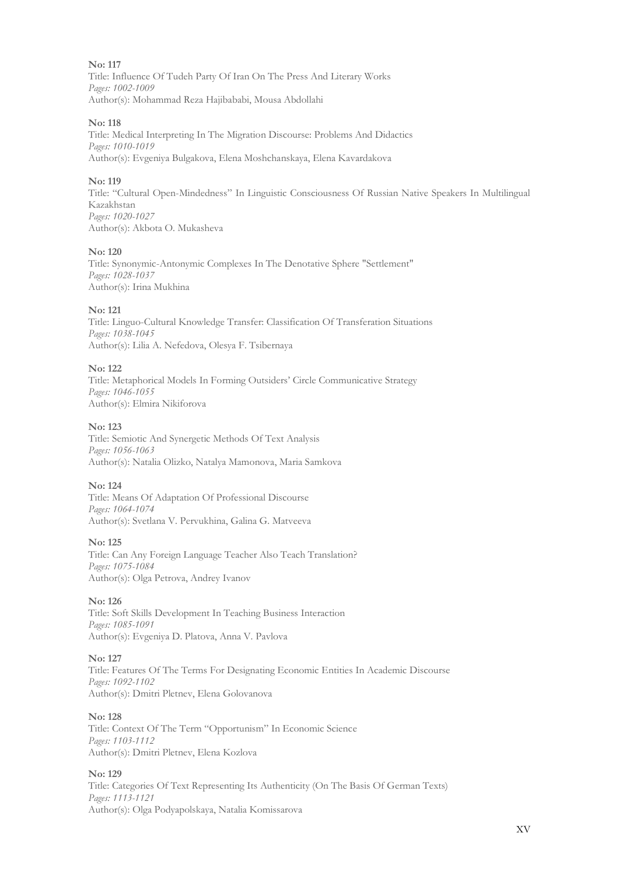**No: 117** Title: Influence Of Tudeh Party Of Iran On The Press And Literary Works *Pages: 1002-1009* Author(s): Mohammad Reza Hajibababi, Mousa Abdollahi

#### **No: 118**

Title: Medical Interpreting In The Migration Discourse: Problems And Didactics *Pages: 1010-1019* Author(s): Evgeniya Bulgakova, Elena Moshchanskaya, Elena Kavardakova

#### **No: 119**

Title: "Cultural Open-Mindedness" In Linguistic Consciousness Of Russian Native Speakers In Multilingual Kazakhstan *Pages: 1020-1027* Author(s): Akbota O. Mukasheva

#### **No: 120**

Title: Synonymic-Antonymic Complexes In The Denotative Sphere "Settlement" *Pages: 1028-1037* Author(s): Irina Mukhina

#### **No: 121**

Title: Linguo-Cultural Knowledge Transfer: Classification Of Transferation Situations *Pages: 1038-1045* Author(s): Lilia A. Nefedova, Olesya F. Tsibernaya

#### **No: 122**

Title: Metaphorical Models In Forming Outsiders' Circle Communicative Strategy *Pages: 1046-1055* Author(s): Elmira Nikiforova

#### **No: 123**

Title: Semiotic And Synergetic Methods Of Text Analysis *Pages: 1056-1063* Author(s): Natalia Olizko, Natalya Mamonova, Maria Samkova

#### **No: 124**

Title: Means Of Adaptation Of Professional Discourse *Pages: 1064-1074* Author(s): Svetlana V. Pervukhina, Galina G. Matveeva

#### **No: 125**

Title: Can Any Foreign Language Teacher Also Teach Translation? *Pages: 1075-1084* Author(s): Olga Petrova, Andrey Ivanov

#### **No: 126**

Title: Soft Skills Development In Teaching Business Interaction *Pages: 1085-1091* Author(s): Evgeniya D. Platova, Anna V. Pavlova

#### **No: 127**

Title: Features Of The Terms For Designating Economic Entities In Academic Discourse *Pages: 1092-1102* Author(s): Dmitri Pletnev, Elena Golovanova

#### **No: 128**

Title: Context Of The Term "Opportunism" In Economic Science *Pages: 1103-1112* Author(s): Dmitri Pletnev, Elena Kozlova

#### **No: 129**

Title: Categories Of Text Representing Its Authenticity (On The Basis Of German Texts) *Pages: 1113-1121* Author(s): Olga Podyapolskaya, Natalia Komissarova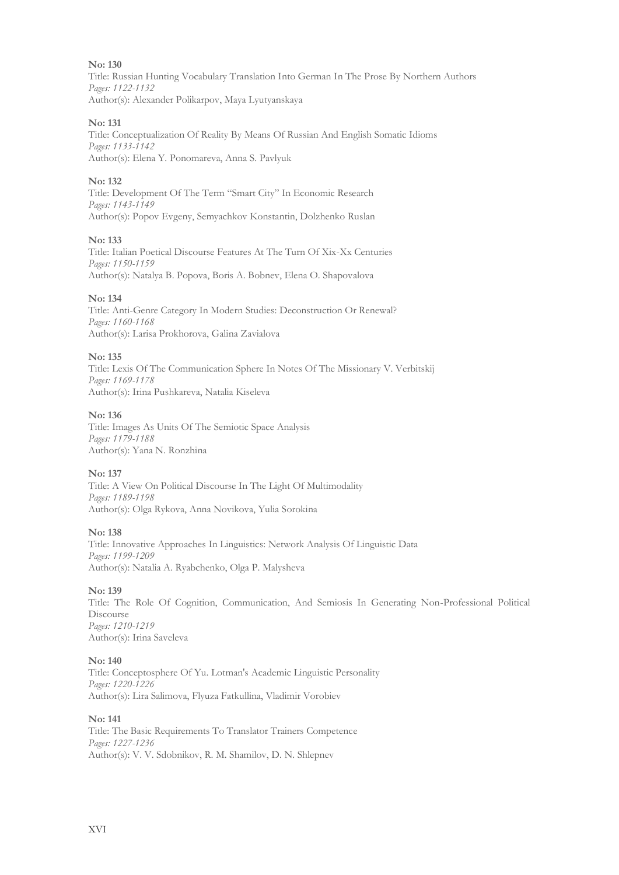Title: Russian Hunting Vocabulary Translation Into German In The Prose By Northern Authors *Pages: 1122-1132* Author(s): Alexander Polikarpov, Maya Lyutyanskaya

#### **No: 131**

Title: Conceptualization Of Reality By Means Of Russian And English Somatic Idioms *Pages: 1133-1142* Author(s): Elena Y. Ponomareva, Anna S. Pavlyuk

#### **No: 132**

Title: Development Of The Term "Smart City" In Economic Research *Pages: 1143-1149* Author(s): Popov Evgeny, Semyachkov Konstantin, Dolzhenko Ruslan

#### **No: 133**

Title: Italian Poetical Discourse Features At The Turn Of Xix-Xx Centuries *Pages: 1150-1159* Author(s): Natalya B. Popova, Boris A. Bobnev, Elena O. Shapovalova

#### **No: 134**

Title: Anti-Genre Category In Modern Studies: Deconstruction Or Renewal? *Pages: 1160-1168* Author(s): Larisa Prokhorova, Galina Zavialova

#### **No: 135**

Title: Lexis Of The Communication Sphere In Notes Of The Missionary V. Verbitskij *Pages: 1169-1178* Author(s): Irina Pushkareva, Natalia Kiseleva

#### **No: 136**

Title: Images As Units Of The Semiotic Space Analysis *Pages: 1179-1188* Author(s): Yana N. Ronzhina

#### **No: 137**

Title: A View On Political Discourse In The Light Of Multimodality *Pages: 1189-1198* Author(s): Olga Rykova, Anna Novikova, Yulia Sorokina

#### **No: 138**

Title: Innovative Approaches In Linguistics: Network Analysis Of Linguistic Data *Pages: 1199-1209* Author(s): Natalia A. Ryabchenko, Olga P. Malysheva

#### **No: 139**

Title: The Role Of Cognition, Communication, And Semiosis In Generating Non-Professional Political Discourse *Pages: 1210-1219* Author(s): Irina Saveleva

#### **No: 140**

Title: Conceptosphere Of Yu. Lotman's Academic Linguistic Personality *Pages: 1220-1226* Author(s): Lira Salimova, Flyuza Fatkullina, Vladimir Vorobiev

#### **No: 141**

Title: The Basic Requirements To Translator Trainers Competence *Pages: 1227-1236* Author(s): V. V. Sdobnikov, R. M. Shamilov, D. N. Shlepnev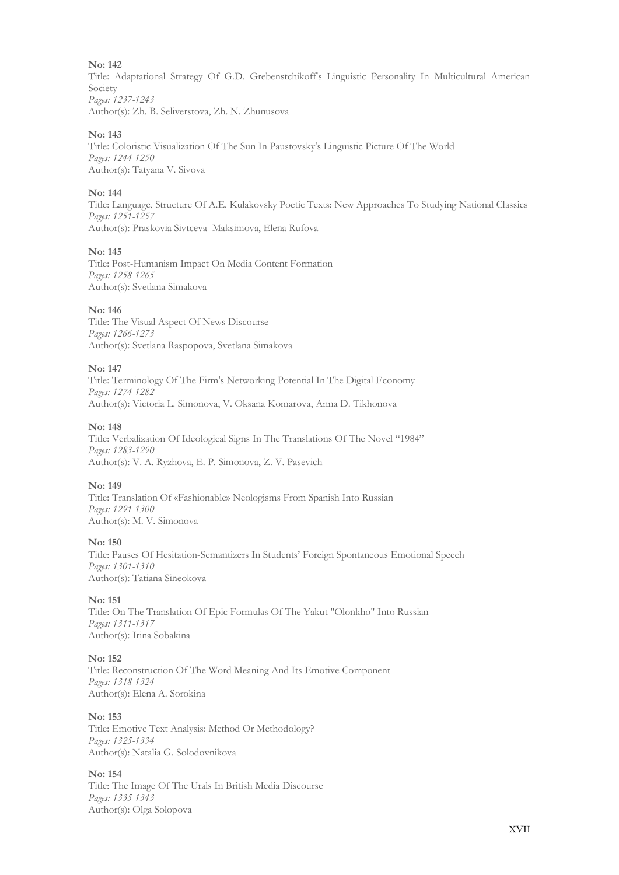Title: Adaptational Strategy Of G.D. Grebenstchikoff's Linguistic Personality In Multicultural American Society *Pages: 1237-1243* Author(s): Zh. B. Seliverstova, Zh. N. Zhunusova

#### **No: 143**

Title: Coloristic Visualization Of The Sun In Paustovsky's Linguistic Picture Of The World *Pages: 1244-1250* Author(s): Tatyana V. Sivova

#### **No: 144**

Title: Language, Structure Of A.E. Kulakovsky Poetic Texts: New Approaches To Studying National Classics *Pages: 1251-1257* Author(s): Praskovia Sivtceva–Maksimova, Elena Rufova

#### **No: 145**

Title: Post-Humanism Impact On Media Content Formation *Pages: 1258-1265* Author(s): Svetlana Simakova

#### **No: 146**

Title: The Visual Aspect Of News Discourse *Pages: 1266-1273* Author(s): Svetlana Raspopova, Svetlana Simakova

#### **No: 147**

Title: Terminology Of The Firm's Networking Potential In The Digital Economy *Pages: 1274-1282* Author(s): Victoria L. Simonova, V. Oksana Komarova, Anna D. Tikhonova

#### **No: 148**

Title: Verbalization Of Ideological Signs In The Translations Of The Novel "1984" *Pages: 1283-1290* Author(s): V. A. Ryzhova, E. P. Simonova, Z. V. Pasevich

#### **No: 149**

Title: Translation Of «Fashionable» Neologisms From Spanish Into Russian *Pages: 1291-1300* Author(s): M. V. Simonova

#### **No: 150**

Title: Pauses Of Hesitation-Semantizers In Students' Foreign Spontaneous Emotional Speech *Pages: 1301-1310* Author(s): Tatiana Sineokova

#### **No: 151**

Title: On The Translation Of Epic Formulas Of The Yakut "Olonkho" Into Russian *Pages: 1311-1317* Author(s): Irina Sobakina

#### **No: 152**

Title: Reconstruction Of The Word Meaning And Its Emotive Component *Pages: 1318-1324* Author(s): Elena A. Sorokina

#### **No: 153**

Title: Emotive Text Analysis: Method Or Methodology? *Pages: 1325-1334* Author(s): Natalia G. Solodovnikova

#### **No: 154**

Title: The Image Of The Urals In British Media Discourse *Pages: 1335-1343* Author(s): Olga Solopova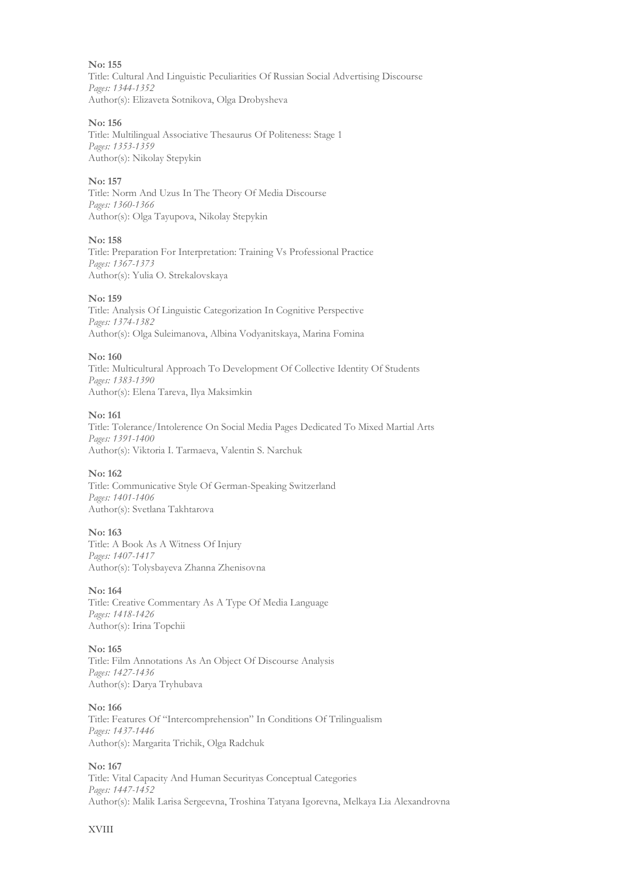**No: 155** Title: Cultural And Linguistic Peculiarities Of Russian Social Advertising Discourse *Pages: 1344-1352* Author(s): Elizaveta Sotnikova, Olga Drobysheva

#### **No: 156**

Title: Multilingual Associative Thesaurus Of Politeness: Stage 1 *Pages: 1353-1359* Author(s): Nikolay Stepykin

#### **No: 157**

Title: Norm And Uzus In The Theory Of Media Discourse *Pages: 1360-1366* Author(s): Olga Tayupova, Nikolay Stepykin

#### **No: 158**

Title: Preparation For Interpretation: Training Vs Professional Practice *Pages: 1367-1373* Author(s): Yulia O. Strekalovskaya

#### **No: 159**

Title: Analysis Of Linguistic Categorization In Cognitive Perspective *Pages: 1374-1382* Author(s): Olga Suleimanova, Albina Vodyanitskaya, Marina Fomina

#### **No: 160**

Title: Multicultural Approach To Development Of Collective Identity Of Students *Pages: 1383-1390* Author(s): Elena Tareva, Ilya Maksimkin

#### **No: 161**

Title: Tolerance/Intolerence On Social Media Pages Dedicated To Mixed Martial Arts *Pages: 1391-1400* Author(s): Viktoria I. Tarmaeva, Valentin S. Narchuk

#### **No: 162**

Title: Communicative Style Of German-Speaking Switzerland *Pages: 1401-1406* Author(s): Svetlana Takhtarova

#### **No: 163**

Title: A Book As A Witness Of Injury *Pages: 1407-1417* Author(s): Tolysbayeva Zhanna Zhenisovna

#### **No: 164**

Title: Creative Commentary As A Type Of Media Language *Pages: 1418-1426* Author(s): Irina Topchii

#### **No: 165**

Title: Film Annotations As An Object Of Discourse Analysis *Pages: 1427-1436* Author(s): Darya Tryhubava

#### **No: 166**

Title: Features Of "Intercomprehension" In Conditions Of Trilingualism *Pages: 1437-1446* Author(s): Margarita Trichik, Olga Radchuk

#### **No: 167**

Title: Vital Capacity And Human Securityas Conceptual Categories *Pages: 1447-1452* Author(s): Malik Larisa Sergeevna, Troshina Tatyana Igorevna, Melkaya Lia Alexandrovna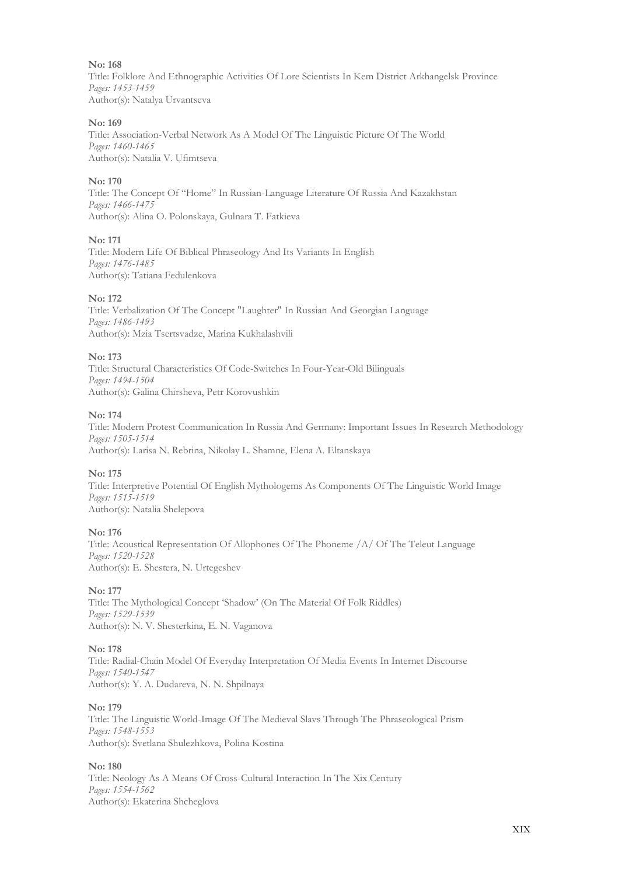Title: Folklore And Ethnographic Activities Of Lore Scientists In Kem District Arkhangelsk Province *Pages: 1453-1459* Author(s): Natalya Urvantseva

#### **No: 169**

Title: Association-Verbal Network As A Model Of The Linguistic Picture Of The World *Pages: 1460-1465* Author(s): Natalia V. Ufimtseva

#### **No: 170**

Title: The Concept Of "Home" In Russian-Language Literature Of Russia And Kazakhstan *Pages: 1466-1475* Author(s): Alina O. Polonskaya, Gulnara T. Fatkieva

#### **No: 171**

Title: Modern Life Of Biblical Phraseology And Its Variants In English *Pages: 1476-1485* Author(s): Tatiana Fedulenkova

#### **No: 172**

Title: Verbalization Of The Concept "Laughter" In Russian And Georgian Language *Pages: 1486-1493* Author(s): Mzia Tsertsvadze, Marina Kukhalashvili

#### **No: 173**

Title: Structural Characteristics Of Code-Switches In Four-Year-Old Bilinguals *Pages: 1494-1504* Author(s): Galina Chirsheva, Petr Korovushkin

#### **No: 174**

Title: Modern Protest Communication In Russia And Germany: Important Issues In Research Methodology *Pages: 1505-1514* Author(s): Larisa N. Rebrina, Nikolay L. Shamne, Elena A. Eltanskaya

#### **No: 175**

Title: Interpretive Potential Of English Mythologems As Components Of The Linguistic World Image *Pages: 1515-1519* Author(s): Natalia Shelepova

#### **No: 176**

Title: Acoustical Representation Of Allophones Of The Phoneme /A/ Of The Teleut Language *Pages: 1520-1528* Author(s): E. Shestera, N. Urtegeshev

#### **No: 177**

Title: The Mythological Concept 'Shadow' (On The Material Of Folk Riddles) *Pages: 1529-1539* Author(s): N. V. Shesterkina, Е. N. Vaganova

#### **No: 178**

Title: Radial-Chain Model Of Everyday Interpretation Of Media Events In Internet Discourse *Pages: 1540-1547* Author(s): Y. A. Dudareva, N. N. Shpilnaya

#### **No: 179**

Title: The Linguistic World-Image Of The Medieval Slavs Through The Phraseological Prism *Pages: 1548-1553* Author(s): Svetlana Shulezhkova, Polina Kostina

#### **No: 180**

Title: Neology As A Means Of Cross-Cultural Interaction In The Xix Century *Pages: 1554-1562* Author(s): Ekaterina Shcheglova